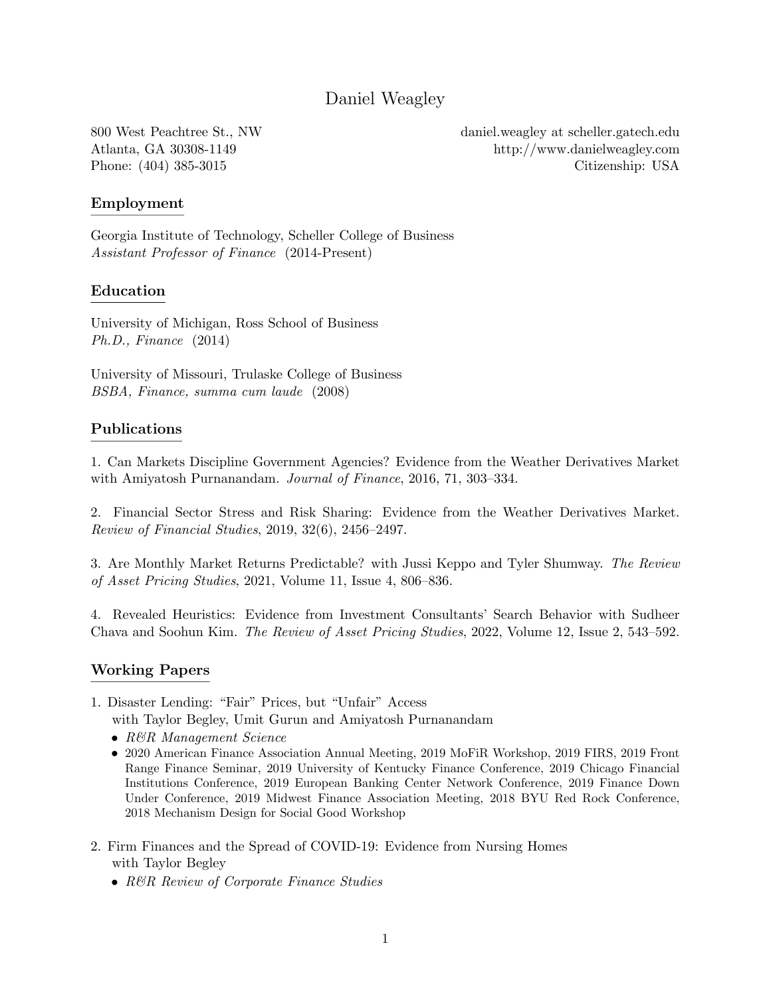# Daniel Weagley

800 West Peachtree St., NW Atlanta, GA 30308-1149 Phone: (404) 385-3015

daniel.weagley at [scheller.gatech.edu](mailto:daniel.weagley@scheller.gatech.edu) <http://www.danielweagley.com> Citizenship: USA

## Employment

Georgia Institute of Technology, Scheller College of Business *Assistant Professor of Finance* (2014-Present)

## Education

University of Michigan, Ross School of Business *Ph.D., Finance* (2014)

University of Missouri, Trulaske College of Business *BSBA, Finance, summa cum laude* (2008)

## Publications

1. Can Markets Discipline [Government](http://papers.ssrn.com/sol3/papers.cfm?abstract_id=2139185) Agencies? Evidence from the Weather Derivatives Market with Amiyatosh Purnanandam. *Journal of Finance*, 2016, 71, 303–334.

2. Financial Sector Stress and Risk Sharing: Evidence from the Weather [Derivatives](http://papers.ssrn.com/sol3/papers.cfm?abstract_id=2640352) Market. *Review of Financial Studies*, 2019, 32(6), 2456–2497.

3. Are Monthly Market Returns [Predictable?](http://papers.ssrn.com/sol3/papers.cfm?abstract_id=2463884) with Jussi Keppo and Tyler Shumway. *The Review of Asset Pricing Studies*, 2021, Volume 11, Issue 4, 806–836.

4. Revealed Heuristics: Evidence from Investment [Consultants'](https://papers.ssrn.com/sol3/papers.cfm?abstract_id=3277424) Search Behavior with Sudheer Chava and Soohun Kim. *The Review of Asset Pricing Studies*, 2022, Volume 12, Issue 2, 543–592.

### Working Papers

1. Disaster [Lending:](https://papers.ssrn.com/sol3/papers.cfm?abstract_id=3145298) "Fair" Prices, but "Unfair" Access

with Taylor Begley, Umit Gurun and Amiyatosh Purnanandam

- *• R&R Management Science*
- 2020 American Finance Association Annual Meeting, 2019 MoFiR Workshop, 2019 FIRS, 2019 Front Range Finance Seminar, 2019 University of Kentucky Finance Conference, 2019 Chicago Financial Institutions Conference, 2019 European Banking Center Network Conference, 2019 Finance Down Under Conference, 2019 Midwest Finance Association Meeting, 2018 BYU Red Rock Conference, 2018 Mechanism Design for Social Good Workshop
- 2. Firm Finances and the Spread of [COVID-19:](https://papers.ssrn.com/sol3/papers.cfm?abstract_id=3659480) Evidence from Nursing Homes with Taylor Begley
	- *• R&R Review of Corporate Finance Studies*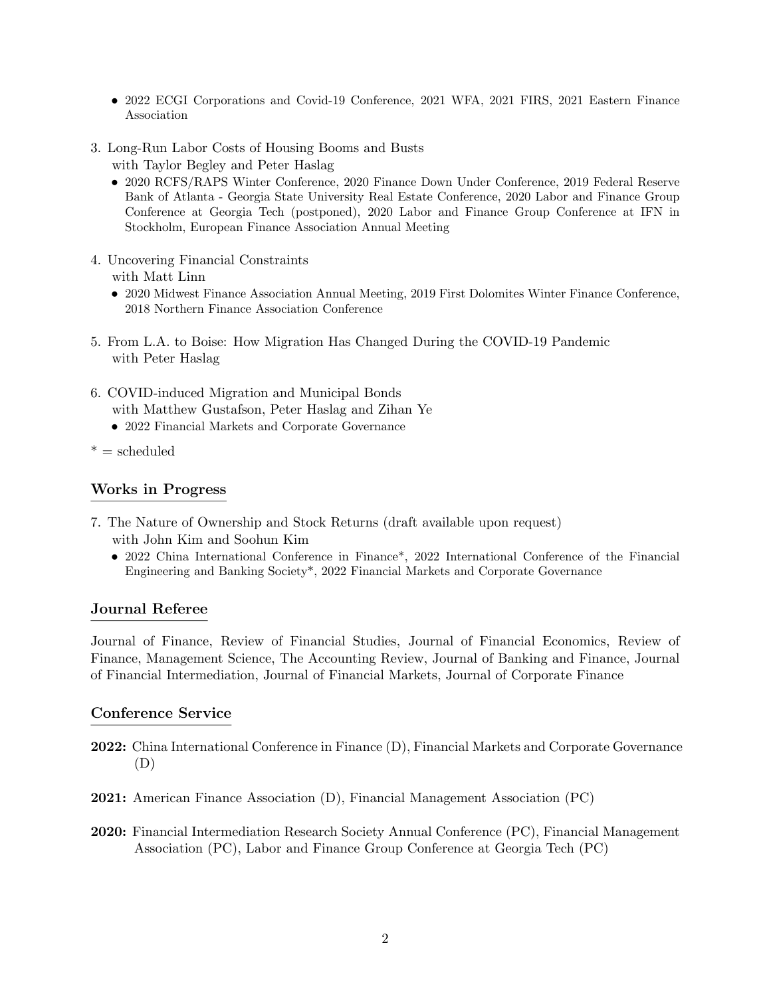- 2022 ECGI Corporations and Covid-19 Conference, 2021 WFA, 2021 FIRS, 2021 Eastern Finance Association
- 3. [Long-Run](https://papers.ssrn.com/sol3/papers.cfm?abstract_id=3577828) Labor Costs of Housing Booms and Busts
	- with Taylor Begley and Peter Haslag
	- 2020 RCFS/RAPS Winter Conference, 2020 Finance Down Under Conference, 2019 Federal Reserve Bank of Atlanta - Georgia State University Real Estate Conference, 2020 Labor and Finance Group Conference at Georgia Tech (postponed), 2020 Labor and Finance Group Conference at IFN in Stockholm, European Finance Association Annual Meeting
- 4. Uncovering Financial [Constraints](https://papers.ssrn.com/sol3/papers.cfm?abstract_id=3375048) with Matt Linn
	- 2020 Midwest Finance Association Annual Meeting, 2019 First Dolomites Winter Finance Conference, 2018 Northern Finance Association Conference
- 5. From L.A. to Boise: How Migration Has Changed During the [COVID-19](https://ssrn.com/abstract=3808326) Pandemic with Peter Haslag
- 6. [COVID-induced](https://papers.ssrn.com/sol3/papers.cfm?abstract_id=4029984) Migration and Municipal Bonds with Matthew Gustafson, Peter Haslag and Zihan Ye
	- *•* 2022 Financial Markets and Corporate Governance
- $* =$  scheduled

## Works in Progress

- 7. The Nature of Ownership and Stock Returns (draft available upon request) with John Kim and Soohun Kim
	- 2022 China International Conference in Finance<sup>\*</sup>, 2022 International Conference of the Financial Engineering and Banking Society\*, 2022 Financial Markets and Corporate Governance

### Journal Referee

Journal of Finance, Review of Financial Studies, Journal of Financial Economics, Review of Finance, Management Science, The Accounting Review, Journal of Banking and Finance, Journal of Financial Intermediation, Journal of Financial Markets, Journal of Corporate Finance

### Conference Service

- 2022: China International Conference in Finance (D), Financial Markets and Corporate Governance (D)
- 2021: American Finance Association (D), Financial Management Association (PC)
- 2020: Financial Intermediation Research Society Annual Conference (PC), Financial Management Association (PC), Labor and Finance Group Conference at Georgia Tech (PC)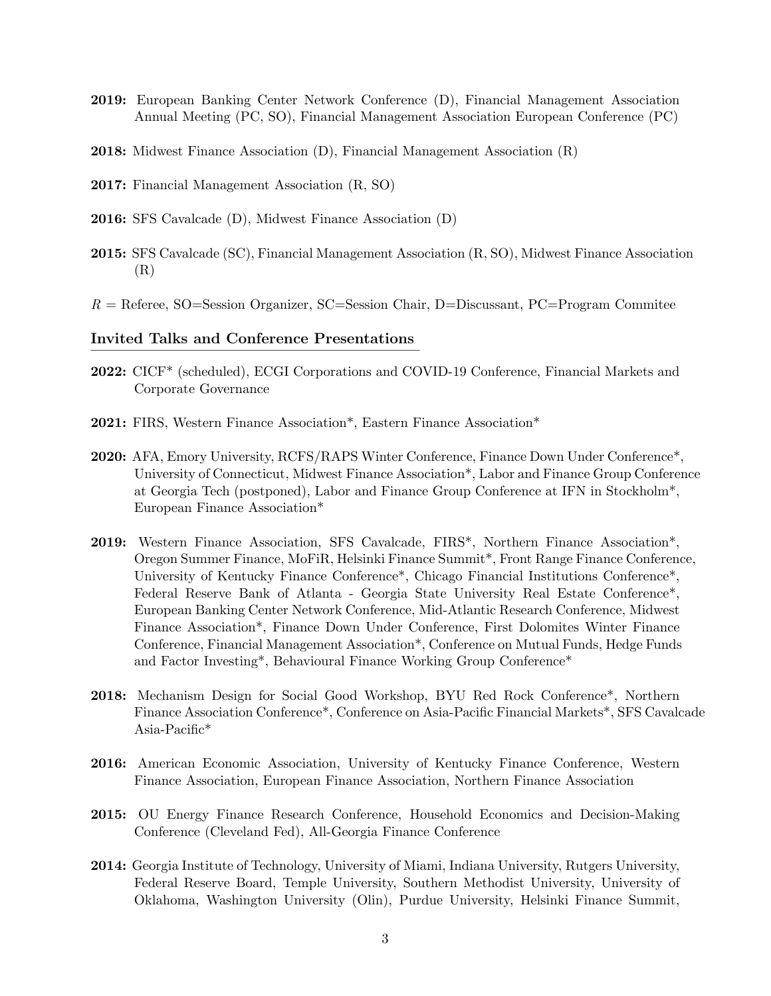- 2019: European Banking Center Network Conference (D), Financial Management Association Annual Meeting (PC, SO), Financial Management Association European Conference (PC)
- 2018: Midwest Finance Association (D), Financial Management Association (R)
- 2017: Financial Management Association (R, SO)
- 2016: SFS Cavalcade (D), Midwest Finance Association (D)
- 2015: SFS Cavalcade (SC), Financial Management Association (R, SO), Midwest Finance Association (R)
- *R* = Referee, SO=Session Organizer, SC=Session Chair, D=Discussant, PC=Program Commitee

#### Invited Talks and Conference Presentations

- 2022: CICF\* (scheduled), ECGI Corporations and COVID-19 Conference, Financial Markets and Corporate Governance
- 2021: FIRS, Western Finance Association\*, Eastern Finance Association\*
- 2020: AFA, Emory University, RCFS/RAPS Winter Conference, Finance Down Under Conference\*, University of Connecticut, Midwest Finance Association\*, Labor and Finance Group Conference at Georgia Tech (postponed), Labor and Finance Group Conference at IFN in Stockholm\*, European Finance Association\*
- 2019: Western Finance Association, SFS Cavalcade, FIRS\*, Northern Finance Association\*, Oregon Summer Finance, MoFiR, Helsinki Finance Summit\*, Front Range Finance Conference, University of Kentucky Finance Conference\*, Chicago Financial Institutions Conference\*, Federal Reserve Bank of Atlanta - Georgia State University Real Estate Conference\*, European Banking Center Network Conference, Mid-Atlantic Research Conference, Midwest Finance Association\*, Finance Down Under Conference, First Dolomites Winter Finance Conference, Financial Management Association\*, Conference on Mutual Funds, Hedge Funds and Factor Investing\*, Behavioural Finance Working Group Conference\*
- 2018: Mechanism Design for Social Good Workshop, BYU Red Rock Conference\*, Northern Finance Association Conference\*, Conference on Asia-Pacific Financial Markets\*, SFS Cavalcade Asia-Pacific\*
- 2016: American Economic Association, University of Kentucky Finance Conference, Western Finance Association, European Finance Association, Northern Finance Association
- 2015: OU Energy Finance Research Conference, Household Economics and Decision-Making Conference (Cleveland Fed), All-Georgia Finance Conference
- 2014: Georgia Institute of Technology, University of Miami, Indiana University, Rutgers University, Federal Reserve Board, Temple University, Southern Methodist University, University of Oklahoma, Washington University (Olin), Purdue University, Helsinki Finance Summit,